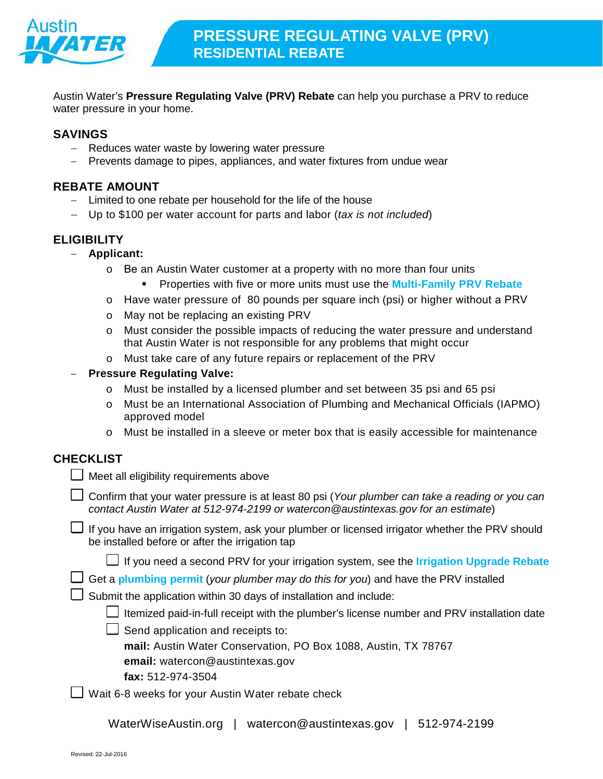

Austin Water's **Pressure Regulating Valve (PRV) Rebate** can help you purchase a PRV to reduce water pressure in your home.

## **SAVINGS**

- − Reduces water waste by lowering water pressure
- − Prevents damage to pipes, appliances, and water fixtures from undue wear

#### **REBATE AMOUNT**

- − Limited to one rebate per household for the life of the house
- − Up to \$100 per water account for parts and labor (*tax is not included*)

#### **ELIGIBILITY**

- − **Applicant:**
	- o Be an Austin Water customer at a property with no more than four units
		- Properties with five or more units must use the **[Multi-Family PRV Rebate](http://www.austintexas.gov/department/water-conservation-rebates)**
	- o Have water pressure of 80 pounds per square inch (psi) or higher without a PRV
	- o May not be replacing an existing PRV
	- o Must consider the possible impacts of reducing the water pressure and understand that Austin Water is not responsible for any problems that might occur
	- o Must take care of any future repairs or replacement of the PRV
- − **Pressure Regulating Valve:** 
	- o Must be installed by a licensed plumber and set between 35 psi and 65 psi
	- o Must be an International Association of Plumbing and Mechanical Officials (IAPMO) approved model
	- o Must be installed in a sleeve or meter box that is easily accessible for maintenance

## **CHECKLIST**

|  | $\Box$ Meet all eligibility requirements above |  |
|--|------------------------------------------------|--|
|  |                                                |  |

- Confirm that your water pressure is at least 80 psi (*Your plumber can take a reading or you can contact Austin Water at 512-974-2199 or [watercon@austintexas.gov](mailto:watercon@austintexas.gov) for an estimate*)
- If you have an irrigation system, ask your plumber or licensed irrigator whether the PRV should be installed before or after the irrigation tap

|  | <b>∐</b> If you need a second PRV for your irrigation system, see the Irrigation Upgrade Rebate |  |  |
|--|-------------------------------------------------------------------------------------------------|--|--|
|--|-------------------------------------------------------------------------------------------------|--|--|

|  |  |  | Get a plumbing permit (your plumber may do this for you) and have the PRV installed |
|--|--|--|-------------------------------------------------------------------------------------|
|--|--|--|-------------------------------------------------------------------------------------|

 $\Box$  Submit the application within 30 days of installation and include:

| U Itemized paid-in-full receipt with the plumber's license number and PRV installation date |  |  |
|---------------------------------------------------------------------------------------------|--|--|
|                                                                                             |  |  |

- $\Box$  Send application and receipts to:
	- **mail:** Austin Water Conservation, PO Box 1088, Austin, TX 78767
	- **email:** [watercon@austintexas.gov](mailto:watercon@austintexas.gov)
	- **fax:** 512-974-3504
- Wait 6-8 weeks for your Austin Water rebate check

| WaterWiseAustin.org | watercon@austintexas.gov | 512-974-2199 |
|---------------------|--------------------------|--------------|
|---------------------|--------------------------|--------------|